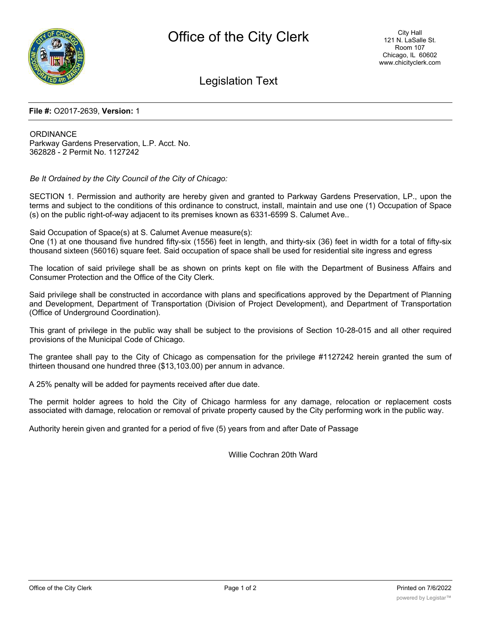

# Legislation Text

#### **File #:** O2017-2639, **Version:** 1

**ORDINANCE** Parkway Gardens Preservation, L.P. Acct. No. 362828 - 2 Permit No. 1127242

*Be It Ordained by the City Council of the City of Chicago:*

SECTION 1. Permission and authority are hereby given and granted to Parkway Gardens Preservation, LP., upon the terms and subject to the conditions of this ordinance to construct, install, maintain and use one (1) Occupation of Space (s) on the public right-of-way adjacent to its premises known as 6331-6599 S. Calumet Ave..

Said Occupation of Space(s) at S. Calumet Avenue measure(s):

One (1) at one thousand five hundred fifty-six (1556) feet in length, and thirty-six (36) feet in width for a total of fifty-six thousand sixteen (56016) square feet. Said occupation of space shall be used for residential site ingress and egress

The location of said privilege shall be as shown on prints kept on file with the Department of Business Affairs and Consumer Protection and the Office of the City Clerk.

Said privilege shall be constructed in accordance with plans and specifications approved by the Department of Planning and Development, Department of Transportation (Division of Project Development), and Department of Transportation (Office of Underground Coordination).

This grant of privilege in the public way shall be subject to the provisions of Section 10-28-015 and all other required provisions of the Municipal Code of Chicago.

The grantee shall pay to the City of Chicago as compensation for the privilege #1127242 herein granted the sum of thirteen thousand one hundred three (\$13,103.00) per annum in advance.

A 25% penalty will be added for payments received after due date.

The permit holder agrees to hold the City of Chicago harmless for any damage, relocation or replacement costs associated with damage, relocation or removal of private property caused by the City performing work in the public way.

Authority herein given and granted for a period of five (5) years from and after Date of Passage

Willie Cochran 20th Ward